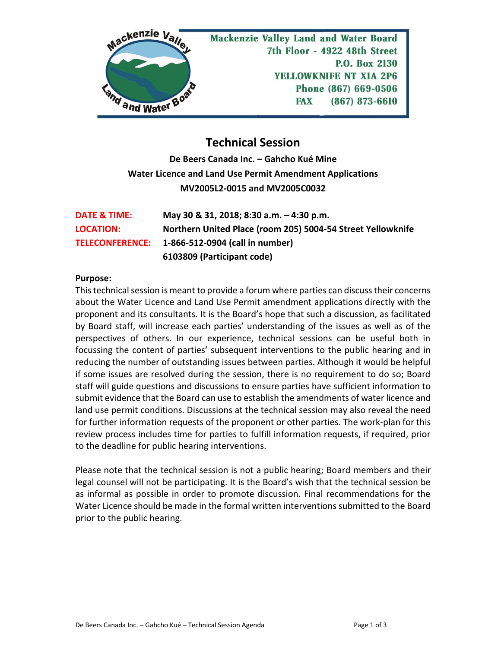

## **Technical Session**

**De Beers Canada Inc. – Gahcho Kué Mine Water Licence and Land Use Permit Amendment Applications MV2005L2-0015 and MV2005C0032**

| DATE & TIME:     | May 30 & 31, 2018; 8:30 a.m. - 4:30 p.m.                    |
|------------------|-------------------------------------------------------------|
| <b>LOCATION:</b> | Northern United Place (room 205) 5004-54 Street Yellowknife |
|                  | TELECONFERENCE: 1-866-512-0904 (call in number)             |
|                  | 6103809 (Participant code)                                  |

## **Purpose:**

This technical session is meant to provide a forum where parties can discuss their concerns about the Water Licence and Land Use Permit amendment applications directly with the proponent and its consultants. It is the Board's hope that such a discussion, as facilitated by Board staff, will increase each parties' understanding of the issues as well as of the perspectives of others. In our experience, technical sessions can be useful both in focussing the content of parties' subsequent interventions to the public hearing and in reducing the number of outstanding issues between parties. Although it would be helpful if some issues are resolved during the session, there is no requirement to do so; Board staff will guide questions and discussions to ensure parties have sufficient information to submit evidence that the Board can use to establish the amendments of water licence and land use permit conditions. Discussions at the technical session may also reveal the need for further information requests of the proponent or other parties. The work-plan for this review process includes time for parties to fulfill information requests, if required, prior to the deadline for public hearing interventions.

Please note that the technical session is not a public hearing; Board members and their legal counsel will not be participating. It is the Board's wish that the technical session be as informal as possible in order to promote discussion. Final recommendations for the Water Licence should be made in the formal written interventions submitted to the Board prior to the public hearing.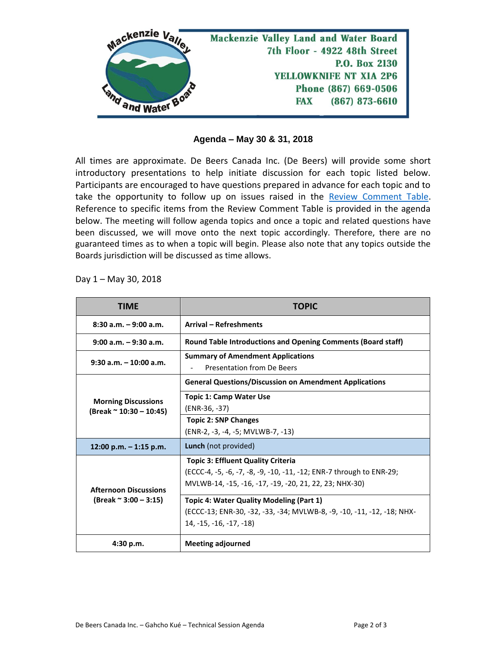

## **Agenda – May 30 & 31, 2018**

All times are approximate. De Beers Canada Inc. (De Beers) will provide some short introductory presentations to help initiate discussion for each topic listed below. Participants are encouraged to have questions prepared in advance for each topic and to take the opportunity to follow up on issues raised in the [Review Comment Table.](http://lwbors.yk.com/LWB_IMS/ReviewComment.aspx?appid=12440) Reference to specific items from the Review Comment Table is provided in the agenda below. The meeting will follow agenda topics and once a topic and related questions have been discussed, we will move onto the next topic accordingly. Therefore, there are no guaranteed times as to when a topic will begin. Please also note that any topics outside the Boards jurisdiction will be discussed as time allows.

Day 1 – May 30, 2018

| <b>TIME</b>                                                   | <b>TOPIC</b>                                                                                                                                                                |
|---------------------------------------------------------------|-----------------------------------------------------------------------------------------------------------------------------------------------------------------------------|
| $8:30$ a.m. $-9:00$ a.m.                                      | <b>Arrival - Refreshments</b>                                                                                                                                               |
| $9:00$ a.m. $-9:30$ a.m.                                      | <b>Round Table Introductions and Opening Comments (Board staff)</b>                                                                                                         |
| $9:30$ a.m. $-10:00$ a.m.                                     | <b>Summary of Amendment Applications</b><br><b>Presentation from De Beers</b>                                                                                               |
| <b>Morning Discussions</b><br>(Break ~ 10:30 - 10:45)         | <b>General Questions/Discussion on Amendment Applications</b>                                                                                                               |
|                                                               | <b>Topic 1: Camp Water Use</b><br>(ENR-36, -37)<br><b>Topic 2: SNP Changes</b>                                                                                              |
| $12:00$ p.m. $-1:15$ p.m.                                     | (ENR-2, -3, -4, -5; MVLWB-7, -13)<br>Lunch (not provided)                                                                                                                   |
| <b>Afternoon Discussions</b><br>(Break $\approx$ 3:00 - 3:15) | <b>Topic 3: Effluent Quality Criteria</b><br>(ECCC-4, -5, -6, -7, -8, -9, -10, -11, -12; ENR-7 through to ENR-29;<br>MVLWB-14, -15, -16, -17, -19, -20, 21, 22, 23; NHX-30) |
|                                                               | Topic 4: Water Quality Modeling (Part 1)<br>(ECCC-13; ENR-30, -32, -33, -34; MVLWB-8, -9, -10, -11, -12, -18; NHX-<br>$14. -15. -16. -17. -18$                              |
| 4:30 p.m.                                                     | <b>Meeting adjourned</b>                                                                                                                                                    |